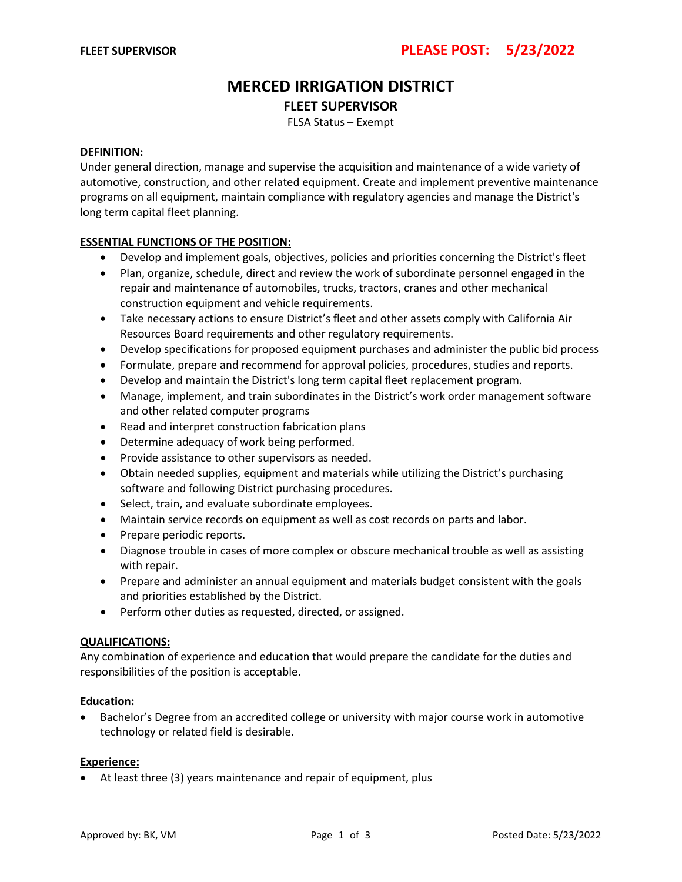# **MERCED IRRIGATION DISTRICT FLEET SUPERVISOR**

FLSA Status – Exempt

## **DEFINITION:**

Under general direction, manage and supervise the acquisition and maintenance of a wide variety of automotive, construction, and other related equipment. Create and implement preventive maintenance programs on all equipment, maintain compliance with regulatory agencies and manage the District's long term capital fleet planning.

# **ESSENTIAL FUNCTIONS OF THE POSITION:**

- Develop and implement goals, objectives, policies and priorities concerning the District's fleet
- Plan, organize, schedule, direct and review the work of subordinate personnel engaged in the repair and maintenance of automobiles, trucks, tractors, cranes and other mechanical construction equipment and vehicle requirements.
- Take necessary actions to ensure District's fleet and other assets comply with California Air Resources Board requirements and other regulatory requirements.
- Develop specifications for proposed equipment purchases and administer the public bid process
- Formulate, prepare and recommend for approval policies, procedures, studies and reports.
- Develop and maintain the District's long term capital fleet replacement program.
- Manage, implement, and train subordinates in the District's work order management software and other related computer programs
- Read and interpret construction fabrication plans
- Determine adequacy of work being performed.
- Provide assistance to other supervisors as needed.
- Obtain needed supplies, equipment and materials while utilizing the District's purchasing software and following District purchasing procedures.
- Select, train, and evaluate subordinate employees.
- Maintain service records on equipment as well as cost records on parts and labor.
- Prepare periodic reports.
- Diagnose trouble in cases of more complex or obscure mechanical trouble as well as assisting with repair.
- Prepare and administer an annual equipment and materials budget consistent with the goals and priorities established by the District.
- Perform other duties as requested, directed, or assigned.

## **QUALIFICATIONS:**

Any combination of experience and education that would prepare the candidate for the duties and responsibilities of the position is acceptable.

## **Education:**

• Bachelor's Degree from an accredited college or university with major course work in automotive technology or related field is desirable.

#### **Experience:**

• At least three (3) years maintenance and repair of equipment, plus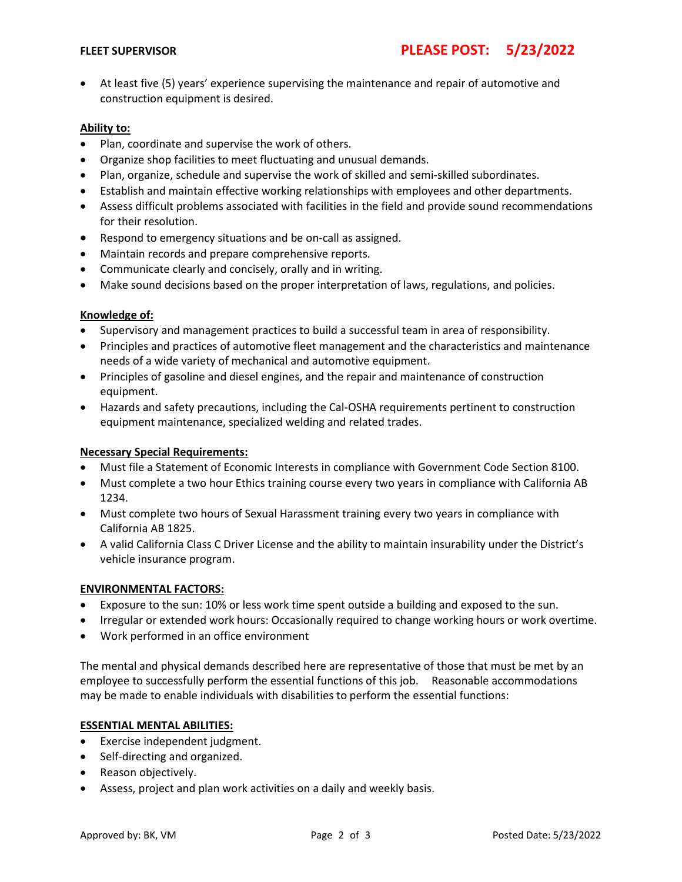• At least five (5) years' experience supervising the maintenance and repair of automotive and construction equipment is desired.

# **Ability to:**

- Plan, coordinate and supervise the work of others.
- Organize shop facilities to meet fluctuating and unusual demands.
- Plan, organize, schedule and supervise the work of skilled and semi-skilled subordinates.
- Establish and maintain effective working relationships with employees and other departments.
- Assess difficult problems associated with facilities in the field and provide sound recommendations for their resolution.
- Respond to emergency situations and be on-call as assigned.
- Maintain records and prepare comprehensive reports.
- Communicate clearly and concisely, orally and in writing.
- Make sound decisions based on the proper interpretation of laws, regulations, and policies.

# **Knowledge of:**

- Supervisory and management practices to build a successful team in area of responsibility.
- Principles and practices of automotive fleet management and the characteristics and maintenance needs of a wide variety of mechanical and automotive equipment.
- Principles of gasoline and diesel engines, and the repair and maintenance of construction equipment.
- Hazards and safety precautions, including the Cal-OSHA requirements pertinent to construction equipment maintenance, specialized welding and related trades.

# **Necessary Special Requirements:**

- Must file a Statement of Economic Interests in compliance with Government Code Section 8100.
- Must complete a two hour Ethics training course every two years in compliance with California AB 1234.
- Must complete two hours of Sexual Harassment training every two years in compliance with California AB 1825.
- A valid California Class C Driver License and the ability to maintain insurability under the District's vehicle insurance program.

## **ENVIRONMENTAL FACTORS:**

- Exposure to the sun: 10% or less work time spent outside a building and exposed to the sun.
- Irregular or extended work hours: Occasionally required to change working hours or work overtime.
- Work performed in an office environment

The mental and physical demands described here are representative of those that must be met by an employee to successfully perform the essential functions of this job. Reasonable accommodations may be made to enable individuals with disabilities to perform the essential functions:

## **ESSENTIAL MENTAL ABILITIES:**

- Exercise independent judgment.
- Self-directing and organized.
- Reason objectively.
- Assess, project and plan work activities on a daily and weekly basis.